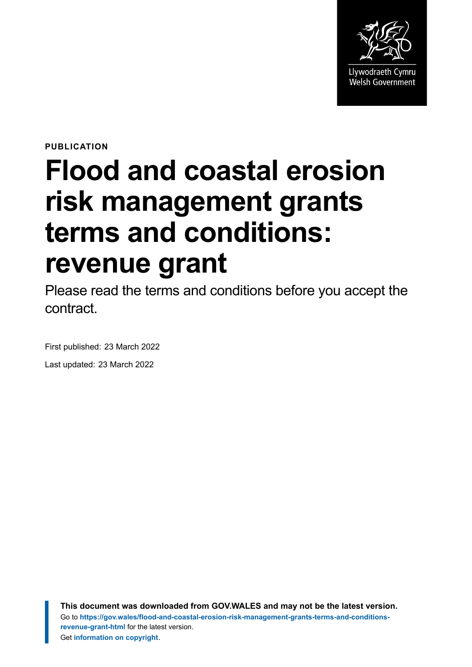

**PUBLICATION**

# **Flood and coastal erosion risk management grants terms and conditions: revenue grant**

Please read the terms and conditions before you accept the contract.

First published: 23 March 2022 Last updated: 23 March 2022

> **This document was downloaded from GOV.WALES and may not be the latest version.** Go to **[https://gov.wales/flood-and-coastal-erosion-risk-management-grants-terms-and-conditions](https://gov.wales/flood-and-coastal-erosion-risk-management-grants-terms-and-conditions-revenue-grant-html)[revenue-grant-html](https://gov.wales/flood-and-coastal-erosion-risk-management-grants-terms-and-conditions-revenue-grant-html)** for the latest version. Get **[information on copyright](https://gov.wales/copyright-statement)**.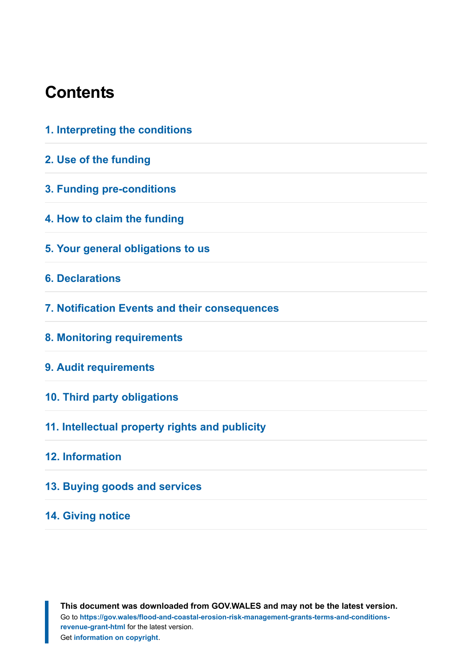#### **Contents**

| 1. Interpreting the conditions                 |
|------------------------------------------------|
| 2. Use of the funding                          |
| 3. Funding pre-conditions                      |
| 4. How to claim the funding                    |
| 5. Your general obligations to us              |
| <b>6. Declarations</b>                         |
| 7. Notification Events and their consequences  |
| 8. Monitoring requirements                     |
| 9. Audit requirements                          |
| 10. Third party obligations                    |
| 11. Intellectual property rights and publicity |
| 12. Information                                |
| 13. Buying goods and services                  |
| <b>14. Giving notice</b>                       |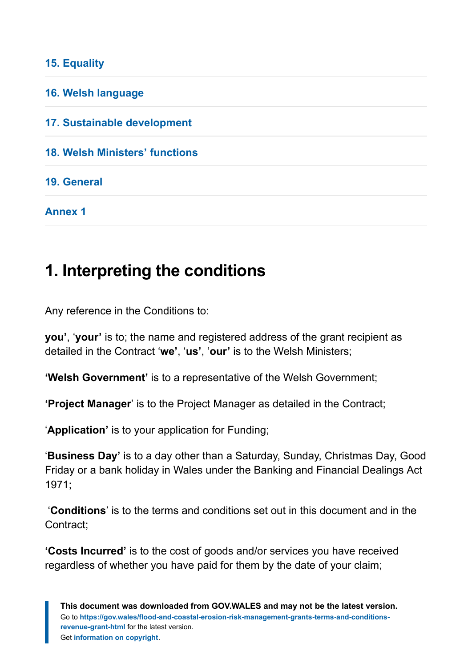#### **[15. Equality](#page-13-1)**

| 16. Welsh language                    |  |
|---------------------------------------|--|
| 17. Sustainable development           |  |
| <b>18. Welsh Ministers' functions</b> |  |
| 19. General                           |  |
| <b>Annex 1</b>                        |  |

#### <span id="page-2-0"></span>**1. Interpreting the conditions**

Any reference in the Conditions to:

**you'**, '**your'** is to; the name and registered address of the grant recipient as detailed in the Contract '**we'**, '**us'**, '**our'** is to the Welsh Ministers;

**'Welsh Government'** is to a representative of the Welsh Government;

**'Project Manager**' is to the Project Manager as detailed in the Contract;

'**Application'** is to your application for Funding;

'**Business Day'** is to a day other than a Saturday, Sunday, Christmas Day, Good Friday or a bank holiday in Wales under the Banking and Financial Dealings Act 1971;

'**Conditions**' is to the terms and conditions set out in this document and in the Contract;

**'Costs Incurred'** is to the cost of goods and/or services you have received regardless of whether you have paid for them by the date of your claim;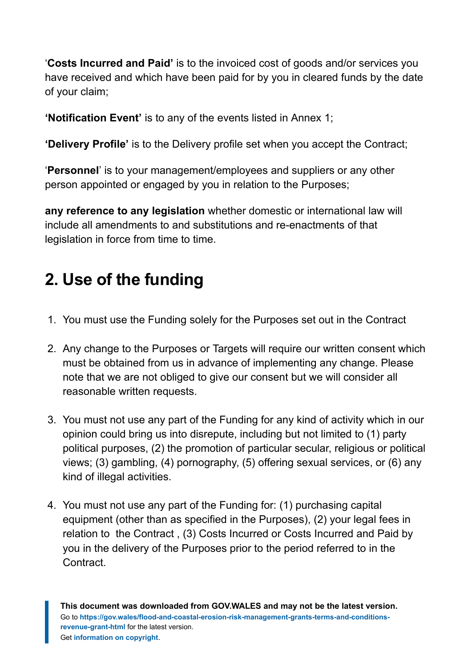'**Costs Incurred and Paid'** is to the invoiced cost of goods and/or services you have received and which have been paid for by you in cleared funds by the date of your claim;

**'Notification Event'** is to any of the events listed in Annex 1;

**'Delivery Profile'** is to the Delivery profile set when you accept the Contract;

'**Personnel**' is to your management/employees and suppliers or any other person appointed or engaged by you in relation to the Purposes;

**any reference to any legislation** whether domestic or international law will include all amendments to and substitutions and re-enactments of that legislation in force from time to time.

# <span id="page-3-0"></span>**2. Use of the funding**

- 1. You must use the Funding solely for the Purposes set out in the Contract
- 2. Any change to the Purposes or Targets will require our written consent which must be obtained from us in advance of implementing any change. Please note that we are not obliged to give our consent but we will consider all reasonable written requests.
- 3. You must not use any part of the Funding for any kind of activity which in our opinion could bring us into disrepute, including but not limited to (1) party political purposes, (2) the promotion of particular secular, religious or political views; (3) gambling, (4) pornography, (5) offering sexual services, or (6) any kind of illegal activities.
- 4. You must not use any part of the Funding for: (1) purchasing capital equipment (other than as specified in the Purposes), (2) your legal fees in relation to the Contract , (3) Costs Incurred or Costs Incurred and Paid by you in the delivery of the Purposes prior to the period referred to in the Contract.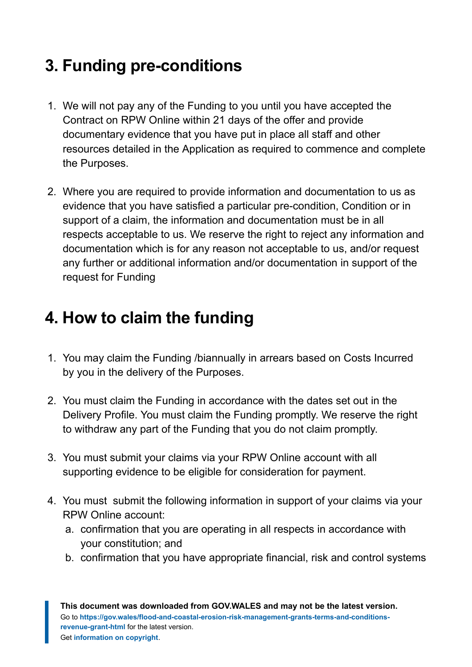# <span id="page-4-0"></span>**3. Funding pre-conditions**

- 1. We will not pay any of the Funding to you until you have accepted the Contract on RPW Online within 21 days of the offer and provide documentary evidence that you have put in place all staff and other resources detailed in the Application as required to commence and complete the Purposes.
- 2. Where you are required to provide information and documentation to us as evidence that you have satisfied a particular pre-condition, Condition or in support of a claim, the information and documentation must be in all respects acceptable to us. We reserve the right to reject any information and documentation which is for any reason not acceptable to us, and/or request any further or additional information and/or documentation in support of the request for Funding

# <span id="page-4-1"></span>**4. How to claim the funding**

- 1. You may claim the Funding /biannually in arrears based on Costs Incurred by you in the delivery of the Purposes.
- 2. You must claim the Funding in accordance with the dates set out in the Delivery Profile. You must claim the Funding promptly. We reserve the right to withdraw any part of the Funding that you do not claim promptly.
- 3. You must submit your claims via your RPW Online account with all supporting evidence to be eligible for consideration for payment.
- 4. You must submit the following information in support of your claims via your RPW Online account:
	- a. confirmation that you are operating in all respects in accordance with your constitution; and
	- b. confirmation that you have appropriate financial, risk and control systems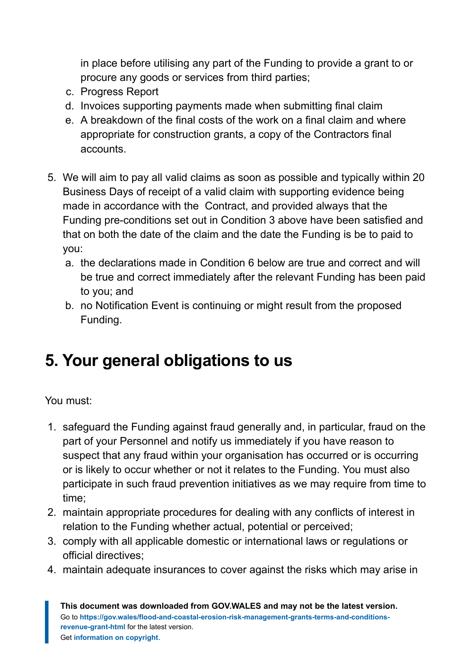in place before utilising any part of the Funding to provide a grant to or procure any goods or services from third parties;

- c. Progress Report
- d. Invoices supporting payments made when submitting final claim
- e. A breakdown of the final costs of the work on a final claim and where appropriate for construction grants, a copy of the Contractors final accounts.
- 5. We will aim to pay all valid claims as soon as possible and typically within 20 Business Days of receipt of a valid claim with supporting evidence being made in accordance with the Contract, and provided always that the Funding pre-conditions set out in Condition 3 above have been satisfied and that on both the date of the claim and the date the Funding is be to paid to you:
	- a. the declarations made in Condition 6 below are true and correct and will be true and correct immediately after the relevant Funding has been paid to you; and
	- b. no Notification Event is continuing or might result from the proposed Funding.

# <span id="page-5-0"></span>**5. Your general obligations to us**

You must:

- 1. safeguard the Funding against fraud generally and, in particular, fraud on the part of your Personnel and notify us immediately if you have reason to suspect that any fraud within your organisation has occurred or is occurring or is likely to occur whether or not it relates to the Funding. You must also participate in such fraud prevention initiatives as we may require from time to time;
- 2. maintain appropriate procedures for dealing with any conflicts of interest in relation to the Funding whether actual, potential or perceived;
- 3. comply with all applicable domestic or international laws or regulations or official directives;
- 4. maintain adequate insurances to cover against the risks which may arise in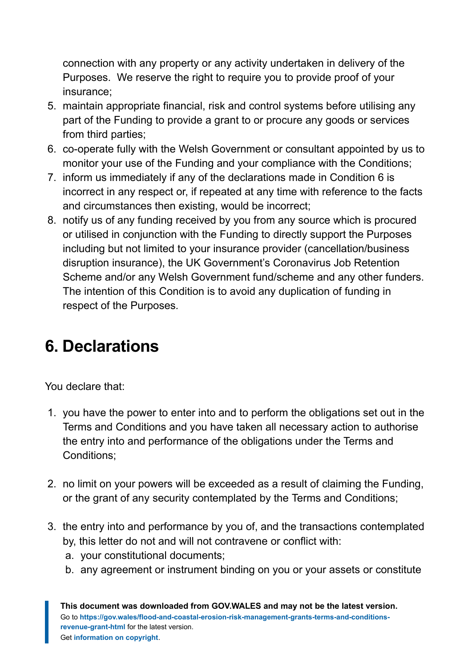connection with any property or any activity undertaken in delivery of the Purposes. We reserve the right to require you to provide proof of your insurance;

- 5. maintain appropriate financial, risk and control systems before utilising any part of the Funding to provide a grant to or procure any goods or services from third parties;
- 6. co-operate fully with the Welsh Government or consultant appointed by us to monitor your use of the Funding and your compliance with the Conditions;
- 7. inform us immediately if any of the declarations made in Condition 6 is incorrect in any respect or, if repeated at any time with reference to the facts and circumstances then existing, would be incorrect;
- 8. notify us of any funding received by you from any source which is procured or utilised in conjunction with the Funding to directly support the Purposes including but not limited to your insurance provider (cancellation/business disruption insurance), the UK Government's Coronavirus Job Retention Scheme and/or any Welsh Government fund/scheme and any other funders. The intention of this Condition is to avoid any duplication of funding in respect of the Purposes*.*

# <span id="page-6-0"></span>**6. Declarations**

You declare that:

- 1. you have the power to enter into and to perform the obligations set out in the Terms and Conditions and you have taken all necessary action to authorise the entry into and performance of the obligations under the Terms and Conditions;
- 2. no limit on your powers will be exceeded as a result of claiming the Funding, or the grant of any security contemplated by the Terms and Conditions;
- 3. the entry into and performance by you of, and the transactions contemplated by, this letter do not and will not contravene or conflict with:
	- a. your constitutional documents;
	- b. any agreement or instrument binding on you or your assets or constitute

**This document was downloaded from GOV.WALES and may not be the latest version.** Go to **[https://gov.wales/flood-and-coastal-erosion-risk-management-grants-terms-and-conditions](https://gov.wales/flood-and-coastal-erosion-risk-management-grants-terms-and-conditions-revenue-grant-html)[revenue-grant-html](https://gov.wales/flood-and-coastal-erosion-risk-management-grants-terms-and-conditions-revenue-grant-html)** for the latest version. Get **[information on copyright](https://gov.wales/copyright-statement)**.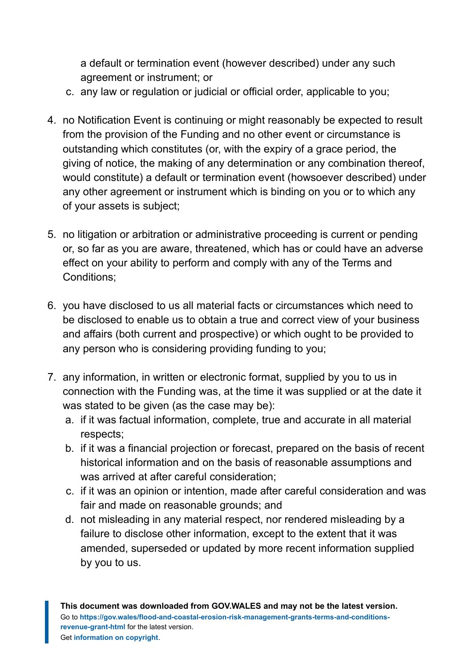a default or termination event (however described) under any such agreement or instrument; or

- c. any law or regulation or judicial or official order, applicable to you;
- 4. no Notification Event is continuing or might reasonably be expected to result from the provision of the Funding and no other event or circumstance is outstanding which constitutes (or, with the expiry of a grace period, the giving of notice, the making of any determination or any combination thereof, would constitute) a default or termination event (howsoever described) under any other agreement or instrument which is binding on you or to which any of your assets is subject;
- 5. no litigation or arbitration or administrative proceeding is current or pending or, so far as you are aware, threatened, which has or could have an adverse effect on your ability to perform and comply with any of the Terms and Conditions;
- 6. you have disclosed to us all material facts or circumstances which need to be disclosed to enable us to obtain a true and correct view of your business and affairs (both current and prospective) or which ought to be provided to any person who is considering providing funding to you;
- 7. any information, in written or electronic format, supplied by you to us in connection with the Funding was, at the time it was supplied or at the date it was stated to be given (as the case may be):
	- a. if it was factual information, complete, true and accurate in all material respects;
	- b. if it was a financial projection or forecast, prepared on the basis of recent historical information and on the basis of reasonable assumptions and was arrived at after careful consideration;
	- c. if it was an opinion or intention, made after careful consideration and was fair and made on reasonable grounds; and
	- d. not misleading in any material respect, nor rendered misleading by a failure to disclose other information, except to the extent that it was amended, superseded or updated by more recent information supplied by you to us.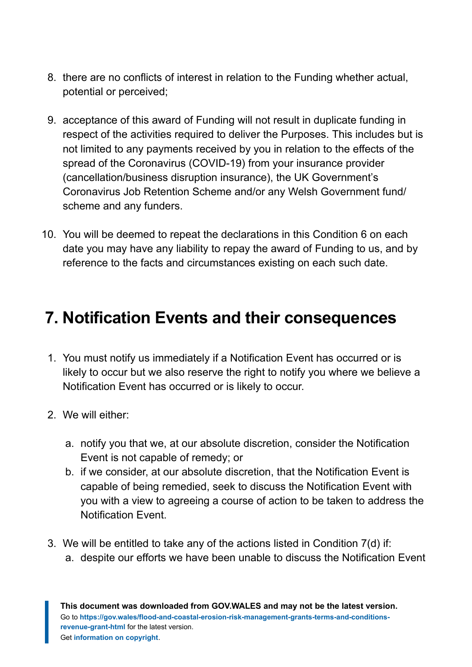- 8. there are no conflicts of interest in relation to the Funding whether actual, potential or perceived;
- 9. acceptance of this award of Funding will not result in duplicate funding in respect of the activities required to deliver the Purposes. This includes but is not limited to any payments received by you in relation to the effects of the spread of the Coronavirus (COVID-19) from your insurance provider (cancellation/business disruption insurance), the UK Government's Coronavirus Job Retention Scheme and/or any Welsh Government fund/ scheme and any funders.
- 10. You will be deemed to repeat the declarations in this Condition 6 on each date you may have any liability to repay the award of Funding to us, and by reference to the facts and circumstances existing on each such date.

#### <span id="page-8-0"></span>**7. Notification Events and their consequences**

- 1. You must notify us immediately if a Notification Event has occurred or is likely to occur but we also reserve the right to notify you where we believe a Notification Event has occurred or is likely to occur.
- 2. We will either:
	- a. notify you that we, at our absolute discretion, consider the Notification Event is not capable of remedy; or
	- b. if we consider, at our absolute discretion, that the Notification Event is capable of being remedied, seek to discuss the Notification Event with you with a view to agreeing a course of action to be taken to address the Notification Event.
- 3. We will be entitled to take any of the actions listed in Condition 7(d) if: a. despite our efforts we have been unable to discuss the Notification Event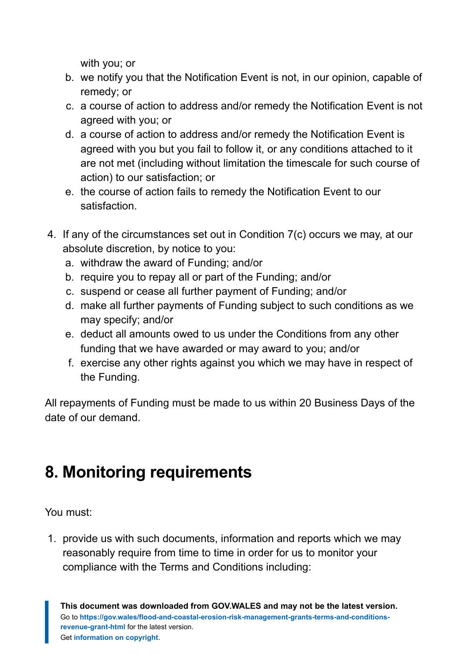with you; or

- b. we notify you that the Notification Event is not, in our opinion, capable of remedy; or
- c. a course of action to address and/or remedy the Notification Event is not agreed with you; or
- d. a course of action to address and/or remedy the Notification Event is agreed with you but you fail to follow it, or any conditions attached to it are not met (including without limitation the timescale for such course of action) to our satisfaction; or
- e. the course of action fails to remedy the Notification Event to our satisfaction.
- 4. If any of the circumstances set out in Condition 7(c) occurs we may, at our absolute discretion, by notice to you:
	- a. withdraw the award of Funding; and/or
	- b. require you to repay all or part of the Funding; and/or
	- c. suspend or cease all further payment of Funding; and/or
	- d. make all further payments of Funding subject to such conditions as we may specify; and/or
	- e. deduct all amounts owed to us under the Conditions from any other funding that we have awarded or may award to you; and/or
	- f. exercise any other rights against you which we may have in respect of the Funding.

All repayments of Funding must be made to us within 20 Business Days of the date of our demand.

# <span id="page-9-0"></span>**8. Monitoring requirements**

You must:

1. provide us with such documents, information and reports which we may reasonably require from time to time in order for us to monitor your compliance with the Terms and Conditions including: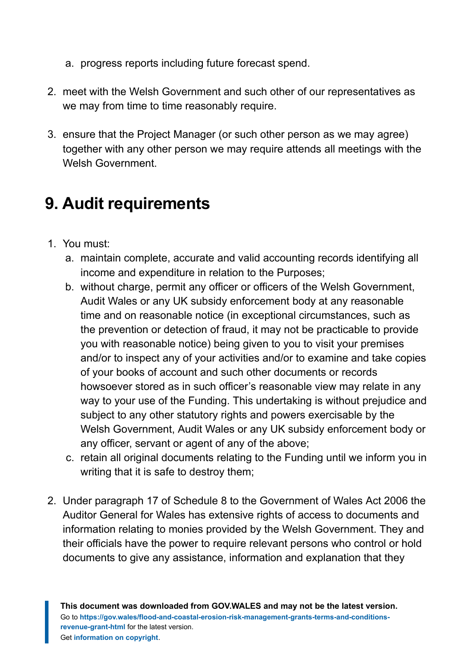- a. progress reports including future forecast spend.
- 2. meet with the Welsh Government and such other of our representatives as we may from time to time reasonably require.
- 3. ensure that the Project Manager (or such other person as we may agree) together with any other person we may require attends all meetings with the Welsh Government.

# <span id="page-10-0"></span>**9. Audit requirements**

- 1. You must:
	- a. maintain complete, accurate and valid accounting records identifying all income and expenditure in relation to the Purposes;
	- b. without charge, permit any officer or officers of the Welsh Government, Audit Wales or any UK subsidy enforcement body at any reasonable time and on reasonable notice (in exceptional circumstances, such as the prevention or detection of fraud, it may not be practicable to provide you with reasonable notice) being given to you to visit your premises and/or to inspect any of your activities and/or to examine and take copies of your books of account and such other documents or records howsoever stored as in such officer's reasonable view may relate in any way to your use of the Funding. This undertaking is without prejudice and subject to any other statutory rights and powers exercisable by the Welsh Government, Audit Wales or any UK subsidy enforcement body or any officer, servant or agent of any of the above;
	- c. retain all original documents relating to the Funding until we inform you in writing that it is safe to destroy them;
- 2. Under paragraph 17 of Schedule 8 to the Government of Wales Act 2006 the Auditor General for Wales has extensive rights of access to documents and information relating to monies provided by the Welsh Government. They and their officials have the power to require relevant persons who control or hold documents to give any assistance, information and explanation that they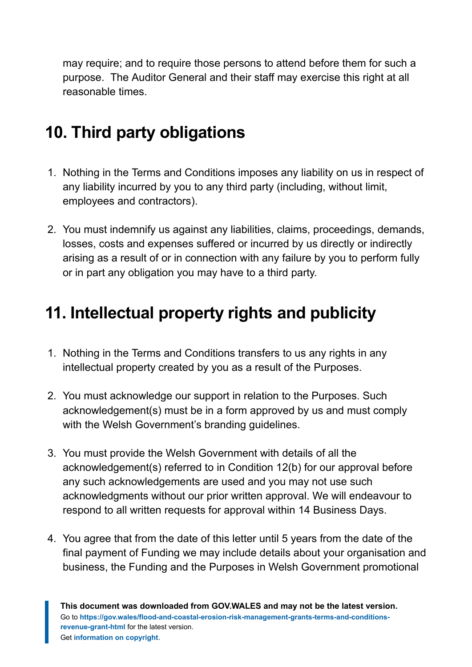may require; and to require those persons to attend before them for such a purpose. The Auditor General and their staff may exercise this right at all reasonable times.

# <span id="page-11-0"></span>**10. Third party obligations**

- 1. Nothing in the Terms and Conditions imposes any liability on us in respect of any liability incurred by you to any third party (including, without limit, employees and contractors).
- 2. You must indemnify us against any liabilities, claims, proceedings, demands, losses, costs and expenses suffered or incurred by us directly or indirectly arising as a result of or in connection with any failure by you to perform fully or in part any obligation you may have to a third party.

### <span id="page-11-1"></span>**11. Intellectual property rights and publicity**

- 1. Nothing in the Terms and Conditions transfers to us any rights in any intellectual property created by you as a result of the Purposes.
- 2. You must acknowledge our support in relation to the Purposes. Such acknowledgement(s) must be in a form approved by us and must comply with the Welsh Government's branding guidelines.
- 3. You must provide the Welsh Government with details of all the acknowledgement(s) referred to in Condition 12(b) for our approval before any such acknowledgements are used and you may not use such acknowledgments without our prior written approval. We will endeavour to respond to all written requests for approval within 14 Business Days.
- 4. You agree that from the date of this letter until 5 years from the date of the final payment of Funding we may include details about your organisation and business, the Funding and the Purposes in Welsh Government promotional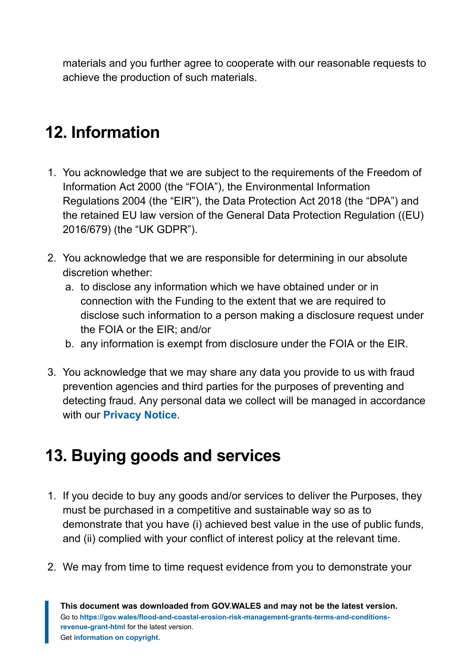materials and you further agree to cooperate with our reasonable requests to achieve the production of such materials.

# <span id="page-12-0"></span>**12. Information**

- 1. You acknowledge that we are subject to the requirements of the Freedom of Information Act 2000 (the "FOIA"), the Environmental Information Regulations 2004 (the "EIR"), the Data Protection Act 2018 (the "DPA") and the retained EU law version of the General Data Protection Regulation ((EU) 2016/679) (the "UK GDPR").
- 2. You acknowledge that we are responsible for determining in our absolute discretion whether:
	- a. to disclose any information which we have obtained under or in connection with the Funding to the extent that we are required to disclose such information to a person making a disclosure request under the FOIA or the EIR; and/or
	- b. any information is exempt from disclosure under the FOIA or the EIR.
- 3. You acknowledge that we may share any data you provide to us with fraud prevention agencies and third parties for the purposes of preventing and detecting fraud. Any personal data we collect will be managed in accordance with our **[Privacy Notice](https://gov.wales/privacy-notice-welsh-government-grants)**.

#### <span id="page-12-1"></span>**13. Buying goods and services**

- 1. If you decide to buy any goods and/or services to deliver the Purposes, they must be purchased in a competitive and sustainable way so as to demonstrate that you have (i) achieved best value in the use of public funds, and (ii) complied with your conflict of interest policy at the relevant time.
- 2. We may from time to time request evidence from you to demonstrate your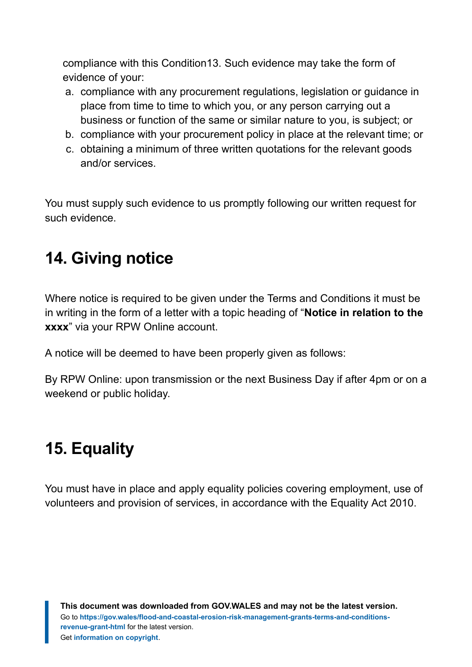compliance with this Condition13. Such evidence may take the form of evidence of your:

- a. compliance with any procurement regulations, legislation or guidance in place from time to time to which you, or any person carrying out a business or function of the same or similar nature to you, is subject; or
- b. compliance with your procurement policy in place at the relevant time; or
- c. obtaining a minimum of three written quotations for the relevant goods and/or services.

You must supply such evidence to us promptly following our written request for such evidence.

# <span id="page-13-0"></span>**14. Giving notice**

Where notice is required to be given under the Terms and Conditions it must be in writing in the form of a letter with a topic heading of "**Notice in relation to the xxxx**" via your RPW Online account.

A notice will be deemed to have been properly given as follows:

By RPW Online: upon transmission or the next Business Day if after 4pm or on a weekend or public holiday.

# <span id="page-13-1"></span>**15. Equality**

You must have in place and apply equality policies covering employment, use of volunteers and provision of services, in accordance with the Equality Act 2010.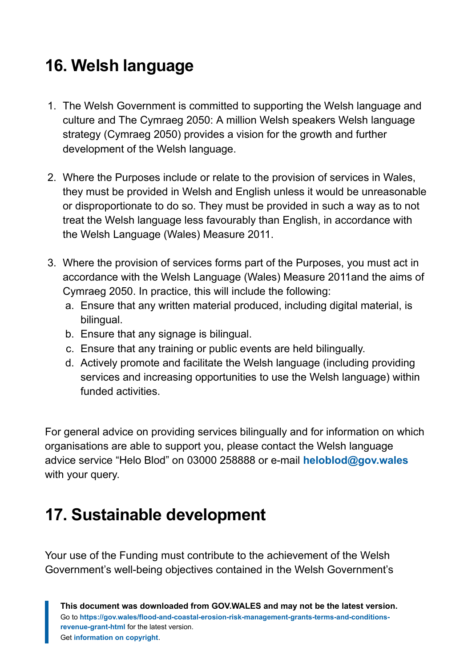# <span id="page-14-0"></span>**16. Welsh language**

- 1. The Welsh Government is committed to supporting the Welsh language and culture and The Cymraeg 2050: A million Welsh speakers Welsh language strategy (Cymraeg 2050) provides a vision for the growth and further development of the Welsh language.
- 2. Where the Purposes include or relate to the provision of services in Wales, they must be provided in Welsh and English unless it would be unreasonable or disproportionate to do so. They must be provided in such a way as to not treat the Welsh language less favourably than English, in accordance with the Welsh Language (Wales) Measure 2011.
- 3. Where the provision of services forms part of the Purposes, you must act in accordance with the Welsh Language (Wales) Measure 2011and the aims of Cymraeg 2050. In practice, this will include the following:
	- a. Ensure that any written material produced, including digital material, is bilingual.
	- b. Ensure that any signage is bilingual.
	- c. Ensure that any training or public events are held bilingually.
	- d. Actively promote and facilitate the Welsh language (including providing services and increasing opportunities to use the Welsh language) within funded activities.

For general advice on providing services bilingually and for information on which organisations are able to support you, please contact the Welsh language advice service "Helo Blod" on 03000 258888 or e-mail **[heloblod@gov.wales](mailto:heloblod@gov.wales)** with your query.

# <span id="page-14-1"></span>**17. Sustainable development**

Your use of the Funding must contribute to the achievement of the Welsh Government's well-being objectives contained in the Welsh Government's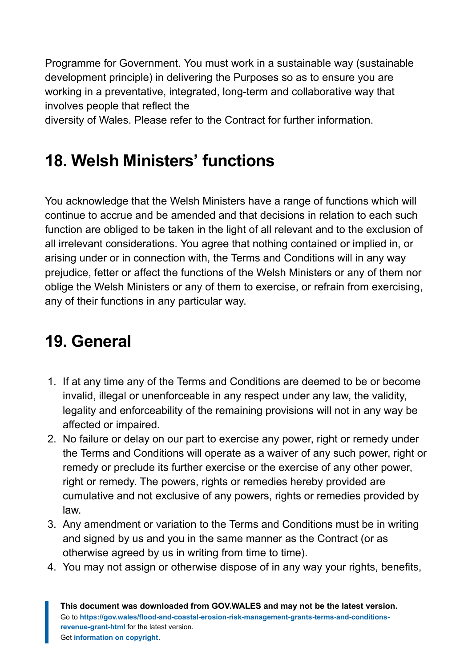Programme for Government. You must work in a sustainable way (sustainable development principle) in delivering the Purposes so as to ensure you are working in a preventative, integrated, long-term and collaborative way that involves people that reflect the

diversity of Wales. Please refer to the Contract for further information.

# <span id="page-15-0"></span>**18. Welsh Ministers' functions**

You acknowledge that the Welsh Ministers have a range of functions which will continue to accrue and be amended and that decisions in relation to each such function are obliged to be taken in the light of all relevant and to the exclusion of all irrelevant considerations. You agree that nothing contained or implied in, or arising under or in connection with, the Terms and Conditions will in any way prejudice, fetter or affect the functions of the Welsh Ministers or any of them nor oblige the Welsh Ministers or any of them to exercise, or refrain from exercising, any of their functions in any particular way.

# <span id="page-15-1"></span>**19. General**

- 1. If at any time any of the Terms and Conditions are deemed to be or become invalid, illegal or unenforceable in any respect under any law, the validity, legality and enforceability of the remaining provisions will not in any way be affected or impaired.
- 2. No failure or delay on our part to exercise any power, right or remedy under the Terms and Conditions will operate as a waiver of any such power, right or remedy or preclude its further exercise or the exercise of any other power, right or remedy. The powers, rights or remedies hereby provided are cumulative and not exclusive of any powers, rights or remedies provided by law.
- 3. Any amendment or variation to the Terms and Conditions must be in writing and signed by us and you in the same manner as the Contract (or as otherwise agreed by us in writing from time to time).
- 4. You may not assign or otherwise dispose of in any way your rights, benefits,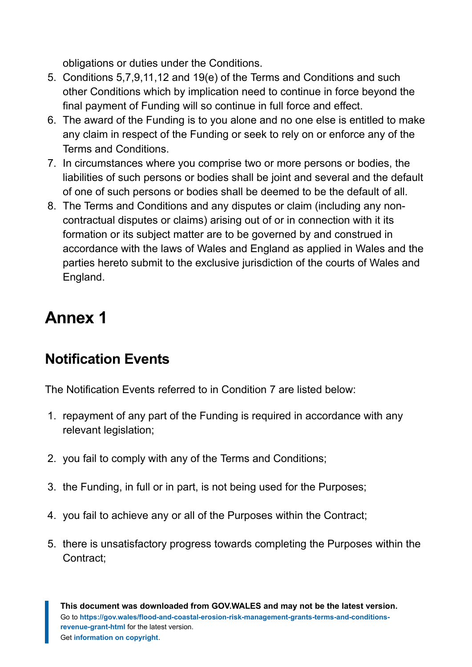obligations or duties under the Conditions.

- 5. Conditions 5,7,9,11,12 and 19(e) of the Terms and Conditions and such other Conditions which by implication need to continue in force beyond the final payment of Funding will so continue in full force and effect.
- 6. The award of the Funding is to you alone and no one else is entitled to make any claim in respect of the Funding or seek to rely on or enforce any of the Terms and Conditions.
- 7. In circumstances where you comprise two or more persons or bodies, the liabilities of such persons or bodies shall be joint and several and the default of one of such persons or bodies shall be deemed to be the default of all.
- 8. The Terms and Conditions and any disputes or claim (including any noncontractual disputes or claims) arising out of or in connection with it its formation or its subject matter are to be governed by and construed in accordance with the laws of Wales and England as applied in Wales and the parties hereto submit to the exclusive jurisdiction of the courts of Wales and England.

# <span id="page-16-0"></span>**Annex 1**

#### **Notification Events**

The Notification Events referred to in Condition 7 are listed below:

- 1. repayment of any part of the Funding is required in accordance with any relevant legislation;
- 2. you fail to comply with any of the Terms and Conditions;
- 3. the Funding, in full or in part, is not being used for the Purposes;
- 4. you fail to achieve any or all of the Purposes within the Contract;
- 5. there is unsatisfactory progress towards completing the Purposes within the Contract;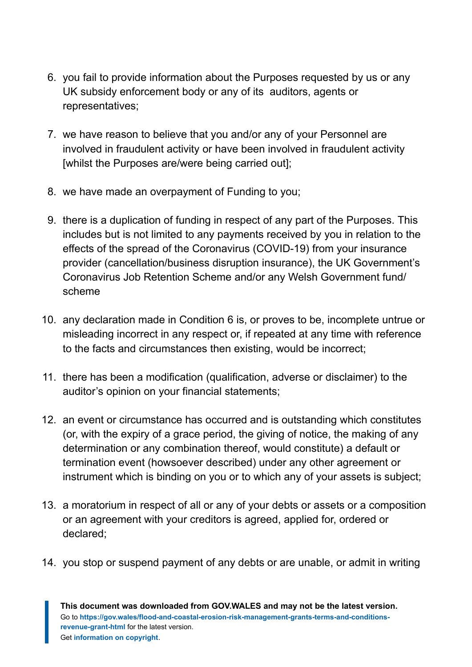- 6. you fail to provide information about the Purposes requested by us or any UK subsidy enforcement body or any of its auditors, agents or representatives;
- 7. we have reason to believe that you and/or any of your Personnel are involved in fraudulent activity or have been involved in fraudulent activity [whilst the Purposes are/were being carried out];
- 8. we have made an overpayment of Funding to you;
- 9. there is a duplication of funding in respect of any part of the Purposes. This includes but is not limited to any payments received by you in relation to the effects of the spread of the Coronavirus (COVID-19) from your insurance provider (cancellation/business disruption insurance), the UK Government's Coronavirus Job Retention Scheme and/or any Welsh Government fund/ scheme
- 10. any declaration made in Condition 6 is, or proves to be, incomplete untrue or misleading incorrect in any respect or, if repeated at any time with reference to the facts and circumstances then existing, would be incorrect;
- 11. there has been a modification (qualification, adverse or disclaimer) to the auditor's opinion on your financial statements;
- 12. an event or circumstance has occurred and is outstanding which constitutes (or, with the expiry of a grace period, the giving of notice, the making of any determination or any combination thereof, would constitute) a default or termination event (howsoever described) under any other agreement or instrument which is binding on you or to which any of your assets is subject;
- 13. a moratorium in respect of all or any of your debts or assets or a composition or an agreement with your creditors is agreed, applied for, ordered or declared;
- 14. you stop or suspend payment of any debts or are unable, or admit in writing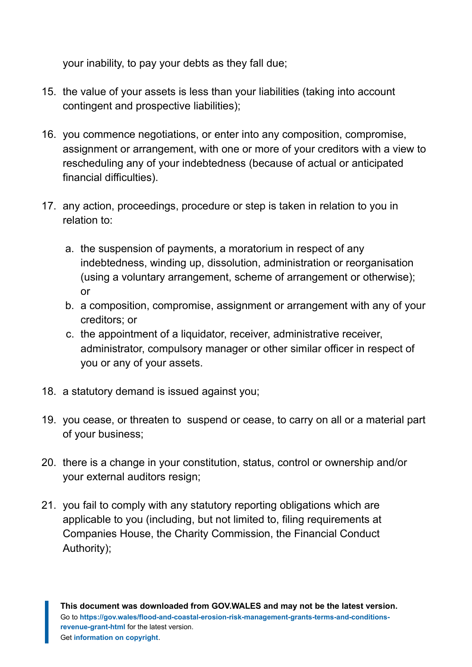your inability, to pay your debts as they fall due;

- 15. the value of your assets is less than your liabilities (taking into account contingent and prospective liabilities);
- 16. you commence negotiations, or enter into any composition, compromise, assignment or arrangement, with one or more of your creditors with a view to rescheduling any of your indebtedness (because of actual or anticipated financial difficulties).
- 17. any action, proceedings, procedure or step is taken in relation to you in relation to:
	- a. the suspension of payments, a moratorium in respect of any indebtedness, winding up, dissolution, administration or reorganisation (using a voluntary arrangement, scheme of arrangement or otherwise); or
	- b. a composition, compromise, assignment or arrangement with any of your creditors; or
	- c. the appointment of a liquidator, receiver, administrative receiver, administrator, compulsory manager or other similar officer in respect of you or any of your assets.
- 18. a statutory demand is issued against you;
- 19. you cease, or threaten to suspend or cease, to carry on all or a material part of your business;
- 20. there is a change in your constitution, status, control or ownership and/or your external auditors resign;
- 21. you fail to comply with any statutory reporting obligations which are applicable to you (including, but not limited to, filing requirements at Companies House, the Charity Commission, the Financial Conduct Authority);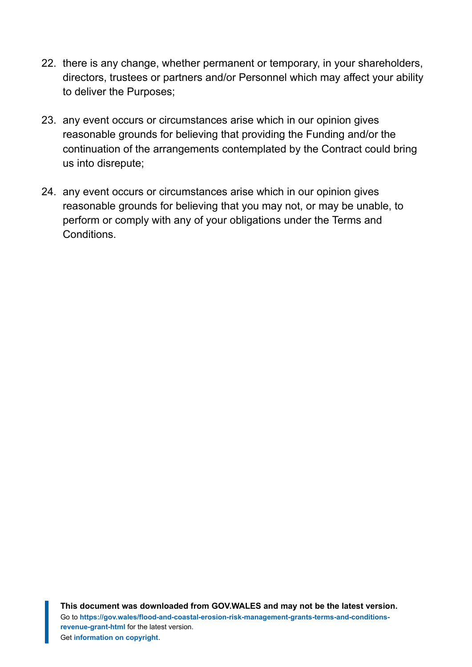- 22. there is any change, whether permanent or temporary, in your shareholders, directors, trustees or partners and/or Personnel which may affect your ability to deliver the Purposes;
- 23. any event occurs or circumstances arise which in our opinion gives reasonable grounds for believing that providing the Funding and/or the continuation of the arrangements contemplated by the Contract could bring us into disrepute;
- 24. any event occurs or circumstances arise which in our opinion gives reasonable grounds for believing that you may not, or may be unable, to perform or comply with any of your obligations under the Terms and Conditions.

**This document was downloaded from GOV.WALES and may not be the latest version.** Go to **[https://gov.wales/flood-and-coastal-erosion-risk-management-grants-terms-and-conditions](https://gov.wales/flood-and-coastal-erosion-risk-management-grants-terms-and-conditions-revenue-grant-html)[revenue-grant-html](https://gov.wales/flood-and-coastal-erosion-risk-management-grants-terms-and-conditions-revenue-grant-html)** for the latest version. Get **[information on copyright](https://gov.wales/copyright-statement)**.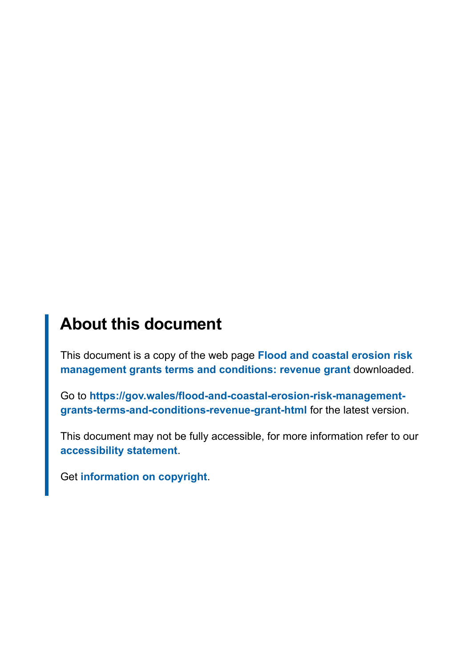#### **About this document**

This document is a copy of the web page **[Flood and coastal erosion risk](https://gov.wales/flood-and-coastal-erosion-risk-management-grants-terms-and-conditions-revenue-grant-html) [management grants terms and conditions: revenue grant](https://gov.wales/flood-and-coastal-erosion-risk-management-grants-terms-and-conditions-revenue-grant-html)** downloaded.

Go to **[https://gov.wales/flood-and-coastal-erosion-risk-management](https://gov.wales/flood-and-coastal-erosion-risk-management-grants-terms-and-conditions-revenue-grant-html)[grants-terms-and-conditions-revenue-grant-html](https://gov.wales/flood-and-coastal-erosion-risk-management-grants-terms-and-conditions-revenue-grant-html)** for the latest version.

This document may not be fully accessible, for more information refer to our **[accessibility statement](https://gov.wales/accessibility-statement-govwales)**.

Get **[information on copyright](https://gov.wales/copyright-statement)**.